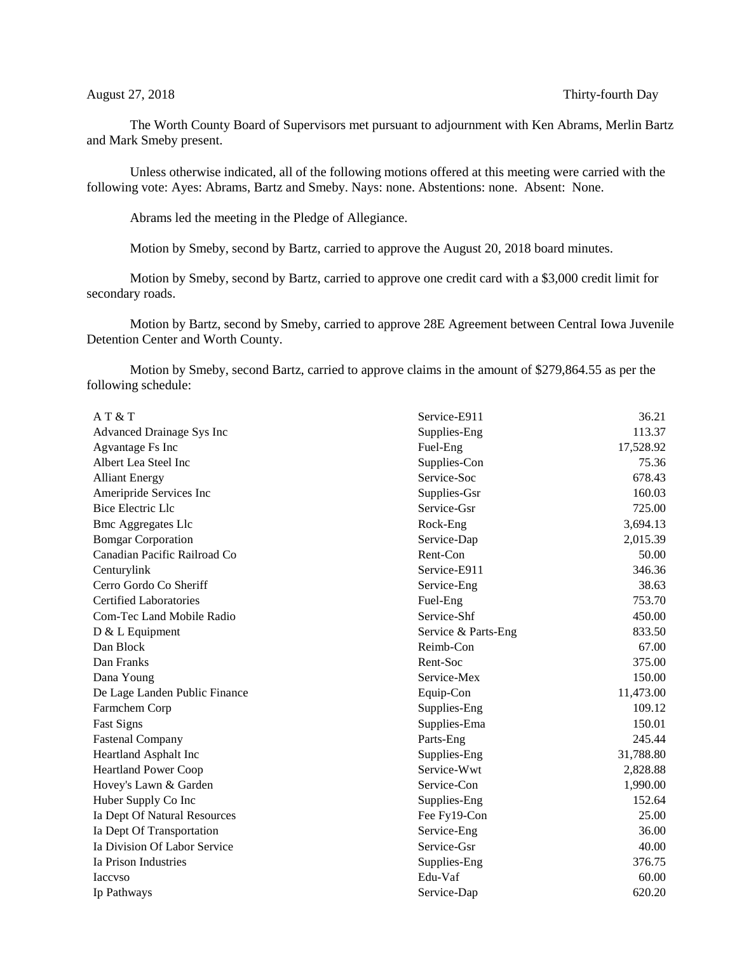The Worth County Board of Supervisors met pursuant to adjournment with Ken Abrams, Merlin Bartz and Mark Smeby present.

Unless otherwise indicated, all of the following motions offered at this meeting were carried with the following vote: Ayes: Abrams, Bartz and Smeby. Nays: none. Abstentions: none. Absent: None.

Abrams led the meeting in the Pledge of Allegiance.

Motion by Smeby, second by Bartz, carried to approve the August 20, 2018 board minutes.

Motion by Smeby, second by Bartz, carried to approve one credit card with a \$3,000 credit limit for secondary roads.

Motion by Bartz, second by Smeby, carried to approve 28E Agreement between Central Iowa Juvenile Detention Center and Worth County.

Motion by Smeby, second Bartz, carried to approve claims in the amount of \$279,864.55 as per the following schedule:

| AT & T                        | Service-E911        | 36.21     |
|-------------------------------|---------------------|-----------|
| Advanced Drainage Sys Inc     | Supplies-Eng        | 113.37    |
| Agvantage Fs Inc              | Fuel-Eng            | 17,528.92 |
| Albert Lea Steel Inc          | Supplies-Con        | 75.36     |
| <b>Alliant Energy</b>         | Service-Soc         | 678.43    |
| Ameripride Services Inc       | Supplies-Gsr        | 160.03    |
| <b>Bice Electric Llc</b>      | Service-Gsr         | 725.00    |
| <b>Bmc Aggregates Llc</b>     | Rock-Eng            | 3,694.13  |
| <b>Bomgar Corporation</b>     | Service-Dap         | 2,015.39  |
| Canadian Pacific Railroad Co  | Rent-Con            | 50.00     |
| Centurylink                   | Service-E911        | 346.36    |
| Cerro Gordo Co Sheriff        | Service-Eng         | 38.63     |
| <b>Certified Laboratories</b> | Fuel-Eng            | 753.70    |
| Com-Tec Land Mobile Radio     | Service-Shf         | 450.00    |
| $D & L$ Equipment             | Service & Parts-Eng | 833.50    |
| Dan Block                     | Reimb-Con           | 67.00     |
| Dan Franks                    | Rent-Soc            | 375.00    |
| Dana Young                    | Service-Mex         | 150.00    |
| De Lage Landen Public Finance | Equip-Con           | 11,473.00 |
| Farmchem Corp                 | Supplies-Eng        | 109.12    |
| <b>Fast Signs</b>             | Supplies-Ema        | 150.01    |
| <b>Fastenal Company</b>       | Parts-Eng           | 245.44    |
| Heartland Asphalt Inc         | Supplies-Eng        | 31,788.80 |
| <b>Heartland Power Coop</b>   | Service-Wwt         | 2,828.88  |
| Hovey's Lawn & Garden         | Service-Con         | 1,990.00  |
| Huber Supply Co Inc           | Supplies-Eng        | 152.64    |
| Ia Dept Of Natural Resources  | Fee Fy19-Con        | 25.00     |
| Ia Dept Of Transportation     | Service-Eng         | 36.00     |
| Ia Division Of Labor Service  | Service-Gsr         | 40.00     |
| Ia Prison Industries          | Supplies-Eng        | 376.75    |
| <b>Iaccyso</b>                | Edu-Vaf             | 60.00     |
| Ip Pathways                   | Service-Dap         | 620.20    |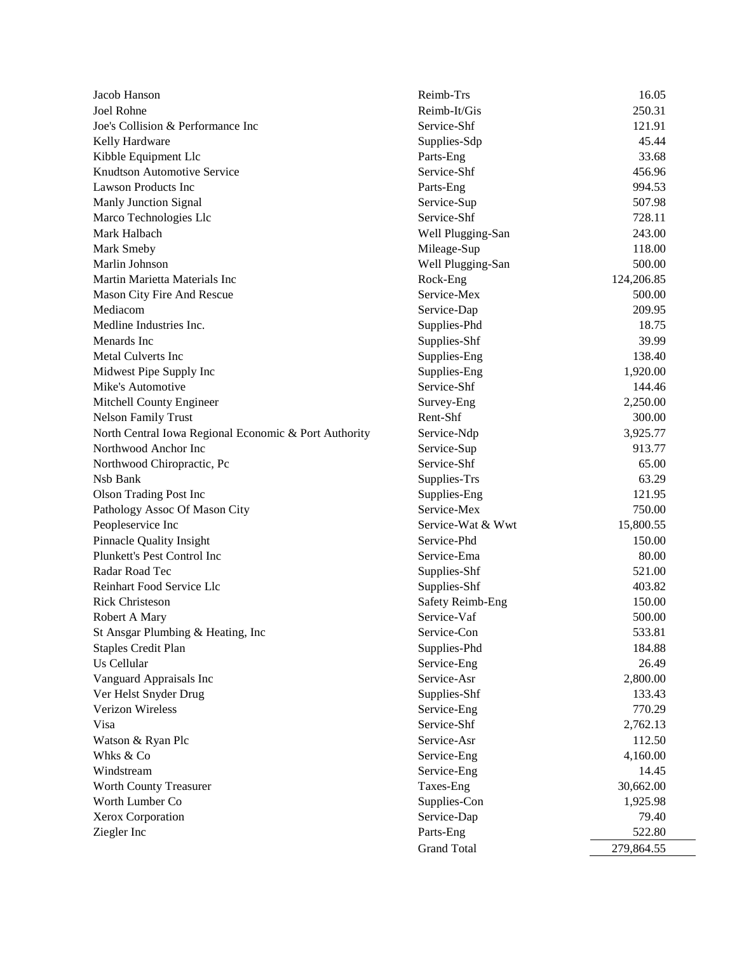| Jacob Hanson                                          | Reimb-Trs          | 16.05      |
|-------------------------------------------------------|--------------------|------------|
| Joel Rohne                                            | Reimb-It/Gis       | 250.31     |
| Joe's Collision & Performance Inc                     | Service-Shf        | 121.91     |
| Kelly Hardware                                        | Supplies-Sdp       | 45.44      |
| Kibble Equipment Llc                                  | Parts-Eng          | 33.68      |
| <b>Knudtson Automotive Service</b>                    | Service-Shf        | 456.96     |
| <b>Lawson Products Inc</b>                            | Parts-Eng          | 994.53     |
| Manly Junction Signal                                 | Service-Sup        | 507.98     |
| Marco Technologies Llc                                | Service-Shf        | 728.11     |
| Mark Halbach                                          | Well Plugging-San  | 243.00     |
| Mark Smeby                                            | Mileage-Sup        | 118.00     |
| Marlin Johnson                                        | Well Plugging-San  | 500.00     |
| Martin Marietta Materials Inc                         | Rock-Eng           | 124,206.85 |
| Mason City Fire And Rescue                            | Service-Mex        | 500.00     |
| Mediacom                                              | Service-Dap        | 209.95     |
| Medline Industries Inc.                               | Supplies-Phd       | 18.75      |
| Menards Inc                                           | Supplies-Shf       | 39.99      |
| Metal Culverts Inc                                    | Supplies-Eng       | 138.40     |
| Midwest Pipe Supply Inc                               | Supplies-Eng       | 1,920.00   |
| Mike's Automotive                                     | Service-Shf        | 144.46     |
| Mitchell County Engineer                              | Survey-Eng         | 2,250.00   |
| <b>Nelson Family Trust</b>                            | Rent-Shf           | 300.00     |
| North Central Iowa Regional Economic & Port Authority | Service-Ndp        | 3,925.77   |
| Northwood Anchor Inc                                  | Service-Sup        | 913.77     |
| Northwood Chiropractic, Pc                            | Service-Shf        | 65.00      |
| Nsb Bank                                              | Supplies-Trs       | 63.29      |
| <b>Olson Trading Post Inc</b>                         | Supplies-Eng       | 121.95     |
| Pathology Assoc Of Mason City                         | Service-Mex        | 750.00     |
| Peopleservice Inc                                     | Service-Wat & Wwt  | 15,800.55  |
| Pinnacle Quality Insight                              | Service-Phd        | 150.00     |
| Plunkett's Pest Control Inc                           | Service-Ema        | 80.00      |
| Radar Road Tec                                        | Supplies-Shf       | 521.00     |
| Reinhart Food Service Llc                             | Supplies-Shf       | 403.82     |
| <b>Rick Christeson</b>                                | Safety Reimb-Eng   | 150.00     |
| Robert A Mary                                         | Service-Vaf        | 500.00     |
| St Ansgar Plumbing & Heating, Inc                     | Service-Con        | 533.81     |
| <b>Staples Credit Plan</b>                            | Supplies-Phd       | 184.88     |
| Us Cellular                                           | Service-Eng        | 26.49      |
| Vanguard Appraisals Inc                               | Service-Asr        | 2,800.00   |
| Ver Helst Snyder Drug                                 | Supplies-Shf       | 133.43     |
| Verizon Wireless                                      | Service-Eng        | 770.29     |
| Visa                                                  | Service-Shf        | 2,762.13   |
| Watson & Ryan Plc                                     | Service-Asr        | 112.50     |
| Whks & Co                                             | Service-Eng        | 4,160.00   |
| Windstream                                            | Service-Eng        | 14.45      |
| Worth County Treasurer                                | Taxes-Eng          | 30,662.00  |
| Worth Lumber Co                                       | Supplies-Con       | 1,925.98   |
| Xerox Corporation                                     | Service-Dap        | 79.40      |
| Ziegler Inc                                           | Parts-Eng          | 522.80     |
|                                                       | <b>Grand Total</b> | 279,864.55 |